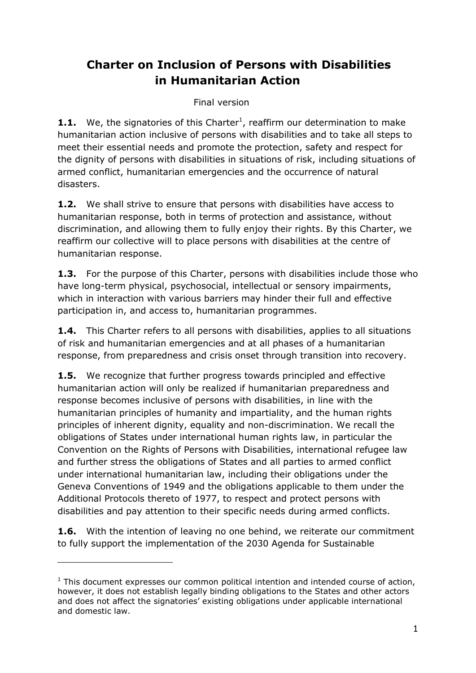# **Charter on Inclusion of Persons with Disabilities in Humanitarian Action**

## Final version

**1.1.** We, the signatories of this Charter<sup>1</sup>, reaffirm our determination to make humanitarian action inclusive of persons with disabilities and to take all steps to meet their essential needs and promote the protection, safety and respect for the dignity of persons with disabilities in situations of risk, including situations of armed conflict, humanitarian emergencies and the occurrence of natural disasters.

**1.2.** We shall strive to ensure that persons with disabilities have access to humanitarian response, both in terms of protection and assistance, without discrimination, and allowing them to fully enjoy their rights. By this Charter, we reaffirm our collective will to place persons with disabilities at the centre of humanitarian response.

**1.3.** For the purpose of this Charter, persons with disabilities include those who have long-term physical, psychosocial, intellectual or sensory impairments, which in interaction with various barriers may hinder their full and effective participation in, and access to, humanitarian programmes.

**1.4.** This Charter refers to all persons with disabilities, applies to all situations of risk and humanitarian emergencies and at all phases of a humanitarian response, from preparedness and crisis onset through transition into recovery.

**1.5.** We recognize that further progress towards principled and effective humanitarian action will only be realized if humanitarian preparedness and response becomes inclusive of persons with disabilities, in line with the humanitarian principles of humanity and impartiality, and the human rights principles of inherent dignity, equality and non-discrimination. We recall the obligations of States under international human rights law, in particular the Convention on the Rights of Persons with Disabilities, international refugee law and further stress the obligations of States and all parties to armed conflict under international humanitarian law, including their obligations under the Geneva Conventions of 1949 and the obligations applicable to them under the Additional Protocols thereto of 1977, to respect and protect persons with disabilities and pay attention to their specific needs during armed conflicts.

**1.6.** With the intention of leaving no one behind, we reiterate our commitment to fully support the implementation of the 2030 Agenda for Sustainable

-

 $1$  This document expresses our common political intention and intended course of action, however, it does not establish legally binding obligations to the States and other actors and does not affect the signatories' existing obligations under applicable international and domestic law.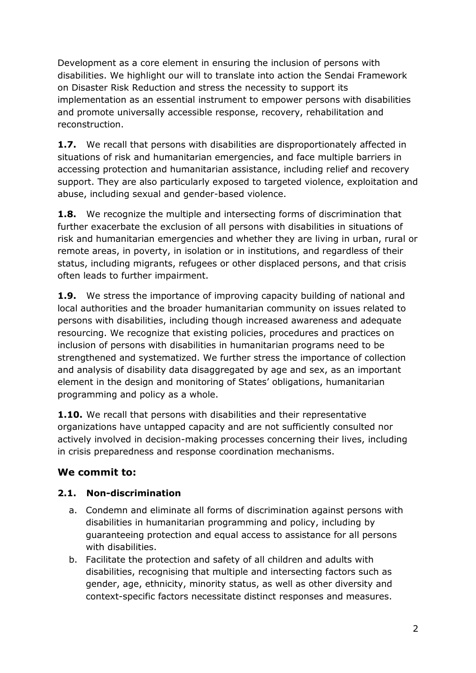Development as a core element in ensuring the inclusion of persons with disabilities. We highlight our will to translate into action the Sendai Framework on Disaster Risk Reduction and stress the necessity to support its implementation as an essential instrument to empower persons with disabilities and promote universally accessible response, recovery, rehabilitation and reconstruction.

**1.7.** We recall that persons with disabilities are disproportionately affected in situations of risk and humanitarian emergencies, and face multiple barriers in accessing protection and humanitarian assistance, including relief and recovery support. They are also particularly exposed to targeted violence, exploitation and abuse, including sexual and gender-based violence.

**1.8.** We recognize the multiple and intersecting forms of discrimination that further exacerbate the exclusion of all persons with disabilities in situations of risk and humanitarian emergencies and whether they are living in urban, rural or remote areas, in poverty, in isolation or in institutions, and regardless of their status, including migrants, refugees or other displaced persons, and that crisis often leads to further impairment.

**1.9.** We stress the importance of improving capacity building of national and local authorities and the broader humanitarian community on issues related to persons with disabilities, including though increased awareness and adequate resourcing. We recognize that existing policies, procedures and practices on inclusion of persons with disabilities in humanitarian programs need to be strengthened and systematized. We further stress the importance of collection and analysis of disability data disaggregated by age and sex, as an important element in the design and monitoring of States' obligations, humanitarian programming and policy as a whole.

**1.10.** We recall that persons with disabilities and their representative organizations have untapped capacity and are not sufficiently consulted nor actively involved in decision-making processes concerning their lives, including in crisis preparedness and response coordination mechanisms.

# **We commit to:**

#### **2.1. Non-discrimination**

- a. Condemn and eliminate all forms of discrimination against persons with disabilities in humanitarian programming and policy, including by guaranteeing protection and equal access to assistance for all persons with disabilities.
- b. Facilitate the protection and safety of all children and adults with disabilities, recognising that multiple and intersecting factors such as gender, age, ethnicity, minority status, as well as other diversity and context-specific factors necessitate distinct responses and measures.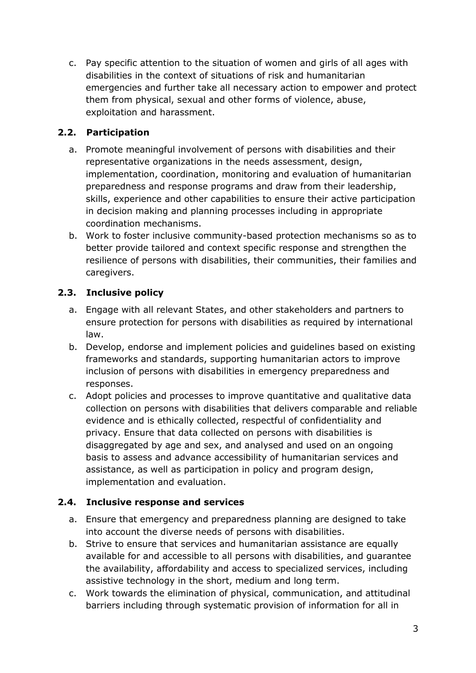c. Pay specific attention to the situation of women and girls of all ages with disabilities in the context of situations of risk and humanitarian emergencies and further take all necessary action to empower and protect them from physical, sexual and other forms of violence, abuse, exploitation and harassment.

## **2.2. Participation**

- a. Promote meaningful involvement of persons with disabilities and their representative organizations in the needs assessment, design, implementation, coordination, monitoring and evaluation of humanitarian preparedness and response programs and draw from their leadership, skills, experience and other capabilities to ensure their active participation in decision making and planning processes including in appropriate coordination mechanisms.
- b. Work to foster inclusive community-based protection mechanisms so as to better provide tailored and context specific response and strengthen the resilience of persons with disabilities, their communities, their families and caregivers.

# **2.3. Inclusive policy**

- a. Engage with all relevant States, and other stakeholders and partners to ensure protection for persons with disabilities as required by international law.
- b. Develop, endorse and implement policies and guidelines based on existing frameworks and standards, supporting humanitarian actors to improve inclusion of persons with disabilities in emergency preparedness and responses.
- c. Adopt policies and processes to improve quantitative and qualitative data collection on persons with disabilities that delivers comparable and reliable evidence and is ethically collected, respectful of confidentiality and privacy. Ensure that data collected on persons with disabilities is disaggregated by age and sex, and analysed and used on an ongoing basis to assess and advance accessibility of humanitarian services and assistance, as well as participation in policy and program design, implementation and evaluation.

# **2.4. Inclusive response and services**

- a. Ensure that emergency and preparedness planning are designed to take into account the diverse needs of persons with disabilities.
- b. Strive to ensure that services and humanitarian assistance are equally available for and accessible to all persons with disabilities, and guarantee the availability, affordability and access to specialized services, including assistive technology in the short, medium and long term.
- c. Work towards the elimination of physical, communication, and attitudinal barriers including through systematic provision of information for all in